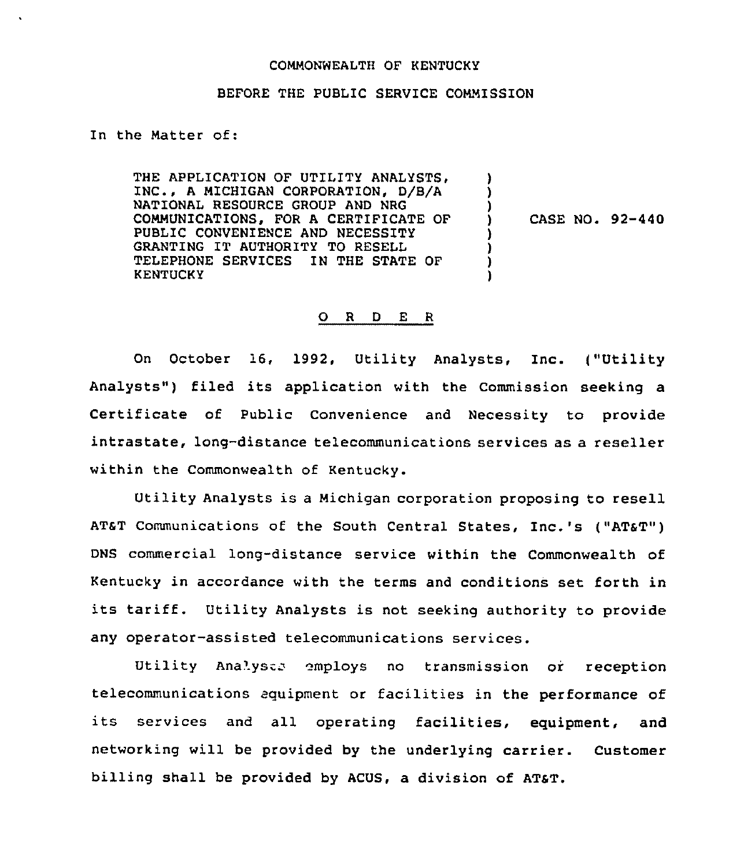## COMMONWEALTH OF KENTUCKY

## BEFORE THE PUBLIC SERVICE COMMISSION

In the Matter of:

THE APPLICATION OF UTILITY ANALYSTS, INC., <sup>A</sup> MICHIGAN CORPORATION, D/8/A NATIONAL RESOURCE GROUP AND NRG COMMUNICATIONS, FOR A CERTIFICATE OF PUBLIC CONVENIENCE AND NECESSITY GRANTING IT AUTHORITY TO RESELL TELEPHONE SERVICES IN THE STATE OF KENTUCKY

) CASE NO. 92-440

)  $)$ 

}

) ) ) )

## 0 <sup>R</sup> <sup>D</sup> <sup>E</sup> <sup>R</sup>

On October 16, 1992, Utility Analysts, Inc. ("Utility Analysts") filed its application with the Commission seeking a Certificate of Public Convenience and Necessity to provide intrastate, lang-distance telecommunications services as a reseller within the Commonwealth of Kentucky.

Utility Analysts is <sup>a</sup> Michigan corporation proposing to resell AT&T Communications of the South Central States, Inc.'s ("AT&T") DNS commercial long-distance service within the Commonwealth of Kentucky in accordance with the terms and conditions set forth in its tariff. Utility Analysts is not seeking authority to provide any operator-assisted telecommunications services.

Utility Analysta employs no transmission or reception telecommunications equipment or facilities in the performance of its services and all operating facilities, equipment, and networking will be provided by the underlying carrier. Customer billing shall be provided by ACUS, a division of AT&T.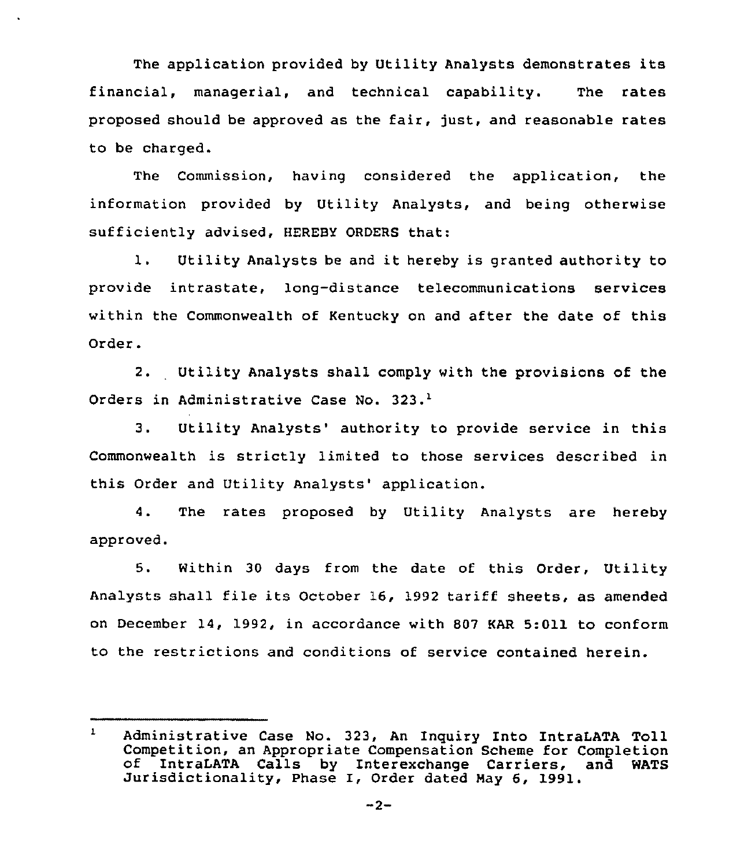The application provided by Utility Analysts demonstrates its financial, managerial, and technical capability. The rates proposed should be approved as the fair, just, and reasonable rates to be charged.

The Commission, having considered the application, the information provided by Utility Analysts, and being otherwise sufficiently advised, HEREBY ORDERS that:

1. Utility Analysts be and it hereby is granted authority to provide intrastate, long-distance telecommunications services within the Commonwealth of Kentucky on and after the date of this Order.

2. Utility Analysts shall comply with the provisions of the Orders in Administrative Case No. 323.<sup>1</sup>

 $3.$ Utility Analysts' authority to provide service in this Commonwealth is strictly limited to those services described in this Order and Utility Analysts' application.

4. The rates proposed by Utility Analysts are hereby approved.

5. Within 30 days from the date of this Order, Utility Analysts shall file its October 16, 1992 tariff sheets, as amended on December 14, 1992, in accordance with 807 KAR 5:011 to conform to the restrictions and conditions of service contained herein.

 $\mathbf{1}$ Administrative Case No. 323, An Inquiry Into IntraLATA Toll Competition, an Appropriate Compensation Scheme for Completion of IntraLATA Calls by Interexchange Carriers, and WATS Jurisdictionality, Phase I, Order dated Hay 6, 1991.